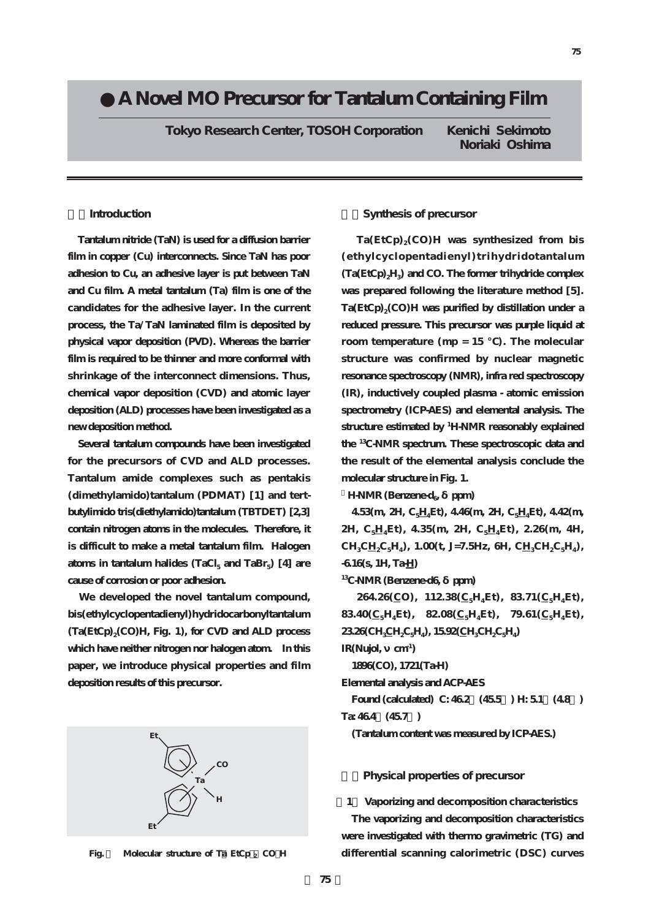# **●A Novel MO Precursor for Tantalum Containing Film**

**Tokyo Research Center, TOSOH Corporation Kenichi Sekimoto**

**Noriaki Oshima**

# **1.Introduction**

**Tantalum nitride (TaN) is used for a diffusion barrier film in copper (Cu) interconnects. Since TaN has poor adhesion to Cu, an adhesive layer is put between TaN and Cu film. A metal tantalum (Ta) film is one of the candidates for the adhesive layer. In the current process, the Ta/TaN laminated film is deposited by physical vapor deposition (PVD). Whereas the barrier film is required to be thinner and more conformal with shrinkage of the interconnect dimensions. Thus, chemical vapor deposition (CVD) and atomic layer deposition (ALD) processes have been investigated as a new deposition method.**

**Several tantalum compounds have been investigated for the precursors of CVD and ALD processes. Tantalum amide complexes such as pentakis** (dimethylamido)tantalum (PDMAT) [1] and tert**butylimido tris(diethylamido)tantalum (TBTDET) [2,3] contain nitrogen atoms in the molecules. Therefore, it is difficult to make a metal tantalum film. Halogen atoms in tantalum halides (TaCl5 and TaBr5) [4] are cause of corrosion or poor adhesion.**

**We developed the novel tantalum compound, bis(ethylcyclopentadienyl)hydridocarbonyltantalum (Ta(EtCp)2(CO)H, Fig. 1), for CVD and ALD process which have neither nitrogen nor halogen atom. In this paper, we introduce physical properties and film deposition results of this precursor.**



**Fig.** Molecular structure of Ta EtCp<sub>2</sub> CO **H** 

### **2.Synthesis of precursor**

 $Ta(EtCp)_{2}(CO)H$  was synthesized from bis **(ethylcyclopentadienyl)trihydridotantalum (Ta(EtCp)2H3) and CO. The former trihydride complex was prepared following the literature method [5].** Ta(EtCp)<sub>2</sub>(CO)H was purified by distillation under a **reduced pressure. This precursor was purple liquid at** room temperature (mp = 15 ). The molecular **structure was confirmed by nuclear magnetic resonance spectroscopy (NMR), infra red spectroscopy (IR), inductively coupled plasma - atomic emission spectrometry (ICP-AES) and elemental analysis. The structure estimated by <sup>1</sup> H-NMR reasonably explained the 13C-NMR spectrum. These spectroscopic data and the result of the elemental analysis conclude the molecular structure in Fig. 1.**

**H-NMR (Benzene-d<sub>e</sub>** ppm)

**4.53(m, 2H, C5H4Et), 4.46(m, 2H, C5H4Et), 4.42(m, 2H, C5H4Et), 4.35(m, 2H, C5H4Et), 2.26(m, 4H,**  $CH_3CH_2C_5H_4$ , 1.00(t, J=7.5Hz, 6H,  $CH_3CH_2C_5H_4$ ), **-6.16(s, 1H, Ta-H)**

**13C-NMR (Benzene-d6, δppm)**

 $264.26(\underline{C}O)$ ,  $112.38(\underline{C}_5H_4Et)$ ,  $83.71(\underline{C}_5H_4Et)$ , **83.40(** $C_5H_4Et$ **), 82.08(** $C_5H_4Et$ **), 79.61(** $C_5H_4Et$ **), 23.26(CH3CH2C5H4), 15.92(CH3CH2C5H4) IR(Nujol, cm<sup>1</sup>)** 

**1896(CO), 1721(Ta-H)**

**Elemental analysis and ACP-AES**

**Found (calculated) C: 46.2%(45.5%) H: 5.1%(4.8%) Ta: 46.4%(45.7%)**

**(Tantalum content was measured by ICP-AES.)**

# **3.Physical properties of precursor**

**[1] Vaporizing and decomposition characteristics**

**The vaporizing and decomposition characteristics were investigated with thermo gravimetric (TG) and differential scanning calorimetric (DSC) curves**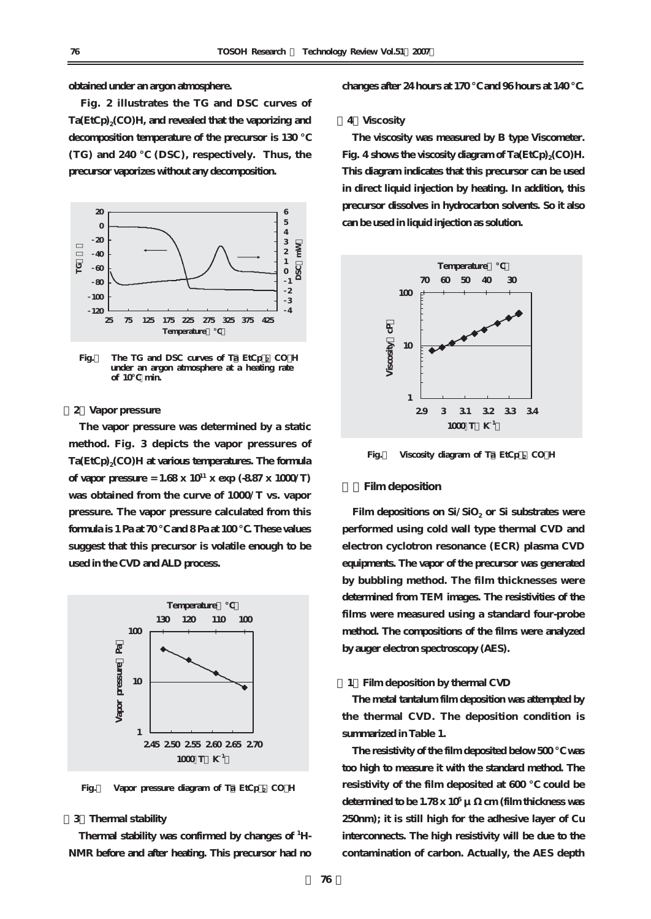#### **obtained under an argon atmosphere.**

**Fig. 2 illustrates the TG and DSC curves of Ta(EtCp)2(CO)H, and revealed that the vaporizing and** decomposition temperature of the precursor is 130 **(TG) and 240 ℃ (DSC), respectively. Thus, the precursor vaporizes without any decomposition.** 



**Fig.** The TG and DSC curves of Ta EtCp<sub>2</sub> CO H  **under an argon atmosphere at a heating rate of 10℃ min.** 

### **[2]Vapor pressure**

**The vapor pressure was determined by a static method. Fig. 3 depicts the vapor pressures of** Ta(EtCp)<sub>2</sub>(CO)H at various temperatures. The formula **of vapor pressure = 1.68 x 10<sup>11</sup> x exp (-8.87 x 1000/T) was obtained from the curve of 1000/T vs. vapor pressure. The vapor pressure calculated from this formula is 1 Pa at 70 ℃ and 8 Pa at 100 ℃. These values suggest that this precursor is volatile enough to be used in the CVD and ALD process.**



**Fig.** Vapor pressure diagram of Ta EtCp<sub>2</sub> CO H

## **[3]Thermal stability**

**Thermal stability was confirmed by changes of <sup>1</sup> H-NMR before and after heating. This precursor had no** **changes after 24 hours at 170 ℃ and 96 hours at 140 ℃.**

#### **[4]Viscosity**

**The viscosity was measured by B type Viscometer. Fig. 4** shows the viscosity diagram of Ta(EtCp)<sub>2</sub>(CO)H. **This diagram indicates that this precursor can be used in direct liquid injection by heating. In addition, this precursor dissolves in hydrocarbon solvents. So it also can be used in liquid injection as solution.**



**Fig.4 Viscosity diagram of Ta(EtCp)2 (CO)H**

#### **4.Film deposition**

Film depositions on Si/SiO<sub>2</sub> or Si substrates were **performed using cold wall type thermal CVD and electron cyclotron resonance (ECR) plasma CVD equipments. The vapor of the precursor was generated by bubbling method. The film thicknesses were determined from TEM images. The resistivities of the films were measured using a standard four-probe method. The compositions of the films were analyzed by auger electron spectroscopy (AES).**

#### **[1]Film deposition by thermal CVD**

**The metal tantalum film deposition was attempted by the thermal CVD. The deposition condition is summarized in Table 1.**

**The resistivity of the film deposited below 500 ℃ was too high to measure it with the standard method. The resistivity of the film deposited at 600 ℃ could be** determined to be  $1.78x 10^5 \mu$  cm (film thickness was **250nm); it is still high for the adhesive layer of Cu interconnects. The high resistivity will be due to the contamination of carbon. Actually, the AES depth**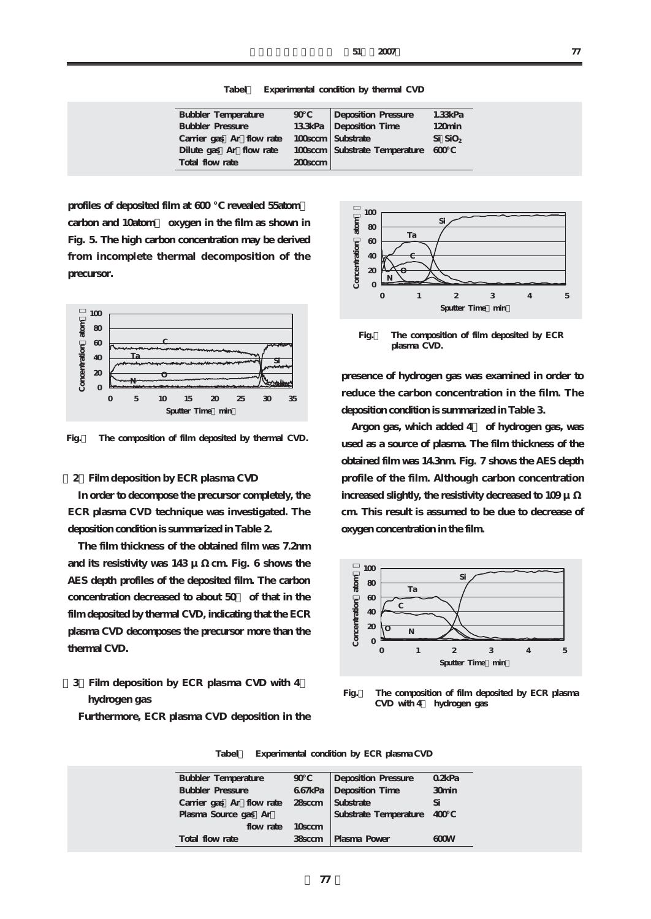**Tabel1 Experimental condition by thermal CVD**

| <b>Bubbler Temperature</b> | $90-1$     | Deposition Pressure               | 1.33kPa            |
|----------------------------|------------|-----------------------------------|--------------------|
| <b>Bubbler Pressure</b>    |            | 133kPa Deposition Time            | 120 <sub>min</sub> |
| Carrier gas Ar flow rate   |            | 100sccm   Substrate               | $Si$ $SiO2$        |
| Dilute gas Ar flow rate    |            | 100sccm Substrate Temperature 600 |                    |
| Total flow rate            | $200$ sccm |                                   |                    |

profiles of deposited film at 600 revealed 55atom carbon and 10atom oxygen in the film as shown in **Fig. 5. The high carbon concentration may be derived from incomplete thermal decomposition of the precursor.**



**Fig.5 The composition of film deposited by thermal CVD.**

# **[2]Film deposition by ECR plasma CVD**

**In order to decompose the precursor completely, the ECR plasma CVD technique was investigated. The deposition condition is summarized in Table 2.**

**The film thickness of the obtained film was 7.2nm and its resistivity was 143 μΩcm. Fig. 6 shows the AES depth profiles of the deposited film. The carbon concentration decreased to about 50% of that in the film deposited by thermal CVD, indicating that the ECR plasma CVD decomposes the precursor more than the thermal CVD.** 

# **[3]Film deposition by ECR plasma CVD with 4% hydrogen gas**



**Fig.6 The composition of film deposited by ECR plasma CVD.** 

**presence of hydrogen gas was examined in order to reduce the carbon concentration in the film. The deposition condition is summarized in Table 3.**

**Argon gas, which added 4% of hydrogen gas, was used as a source of plasma. The film thickness of the obtained film was 14.3nm. Fig. 7 shows the AES depth profile of the film. Although carbon concentration increased slightly, the resistivity decreased to 109 μ cm. This result is assumed to be due to decrease of oxygen concentration in the film.**



**Fig.7 The composition of film deposited by ECR plasma CVD with 4% hydrogen gas** 

| <b>Bubbler Temperature</b> | $90^{\circ}$        | Deposition Pressure       | Q2kPa |
|----------------------------|---------------------|---------------------------|-------|
| <b>Bubbler Pressure</b>    |                     | 667kPa Deposition Time    | 30min |
| Carrier gas Ar flow rate   |                     | 28 sccm Substrate         |       |
| Plasma Source gas Ar       |                     | Substrate Temperature 400 |       |
| flow rate                  | 10 <sub>sc</sub> cm |                           |       |
| Total flow rate            | 38sccm              | Plasma Power              | 600W  |

**Furthermore, ECR plasma CVD deposition in the**

**Tabel2 Experimental condition by ECR plasma CVD**